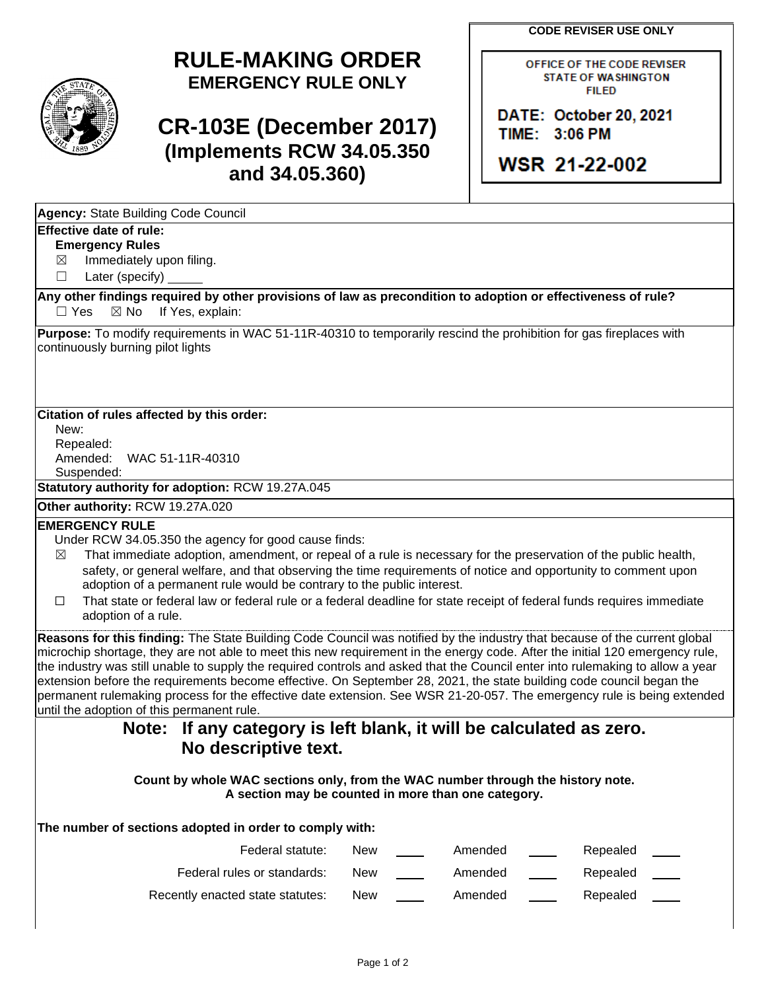**CODE REVISER USE ONLY**

# **RULE-MAKING ORDER EMERGENCY RULE ONLY**

# **CR-103E (December 2017) (Implements RCW 34.05.350 and 34.05.360)**

OFFICE OF THE CODE REVISER **STATE OF WASHINGTON FILED** 

DATE: October 20, 2021 TIME: 3:06 PM

**WSR 21-22-002** 

| Agency: State Building Code Council |  |  |
|-------------------------------------|--|--|
|                                     |  |  |

### **Effective date of rule:**

**Emergency Rules**

 $\boxtimes$  Immediately upon filing.

☐ Later (specify)

**Any other findings required by other provisions of law as precondition to adoption or effectiveness of rule?**  $\Box$  Yes  $\boxtimes$  No If Yes, explain:

**Purpose:** To modify requirements in WAC 51-11R-40310 to temporarily rescind the prohibition for gas fireplaces with continuously burning pilot lights

### **Citation of rules affected by this order:**

New: Repealed: Amended: WAC 51-11R-40310 Suspended:

**Statutory authority for adoption:** RCW 19.27A.045

**Other authority:** RCW 19.27A.020

#### **EMERGENCY RULE**

Under RCW 34.05.350 the agency for good cause finds:

- $\boxtimes$  That immediate adoption, amendment, or repeal of a rule is necessary for the preservation of the public health, safety, or general welfare, and that observing the time requirements of notice and opportunity to comment upon adoption of a permanent rule would be contrary to the public interest.
- ☐ That state or federal law or federal rule or a federal deadline for state receipt of federal funds requires immediate adoption of a rule.

**Reasons for this finding:** The State Building Code Council was notified by the industry that because of the current global microchip shortage, they are not able to meet this new requirement in the energy code. After the initial 120 emergency rule, the industry was still unable to supply the required controls and asked that the Council enter into rulemaking to allow a year extension before the requirements become effective. On September 28, 2021, the state building code council began the permanent rulemaking process for the effective date extension. See WSR 21-20-057. The emergency rule is being extended until the adoption of this permanent rule.

## **Note: If any category is left blank, it will be calculated as zero. No descriptive text.**

**Count by whole WAC sections only, from the WAC number through the history note. A section may be counted in more than one category.**

**The number of sections adopted in order to comply with:**

| Federal statute:                 | <b>New</b> | Amended | Repealed |
|----------------------------------|------------|---------|----------|
| Federal rules or standards:      | New        | Amended | Repealed |
| Recently enacted state statutes: | New        | Amended | Repealed |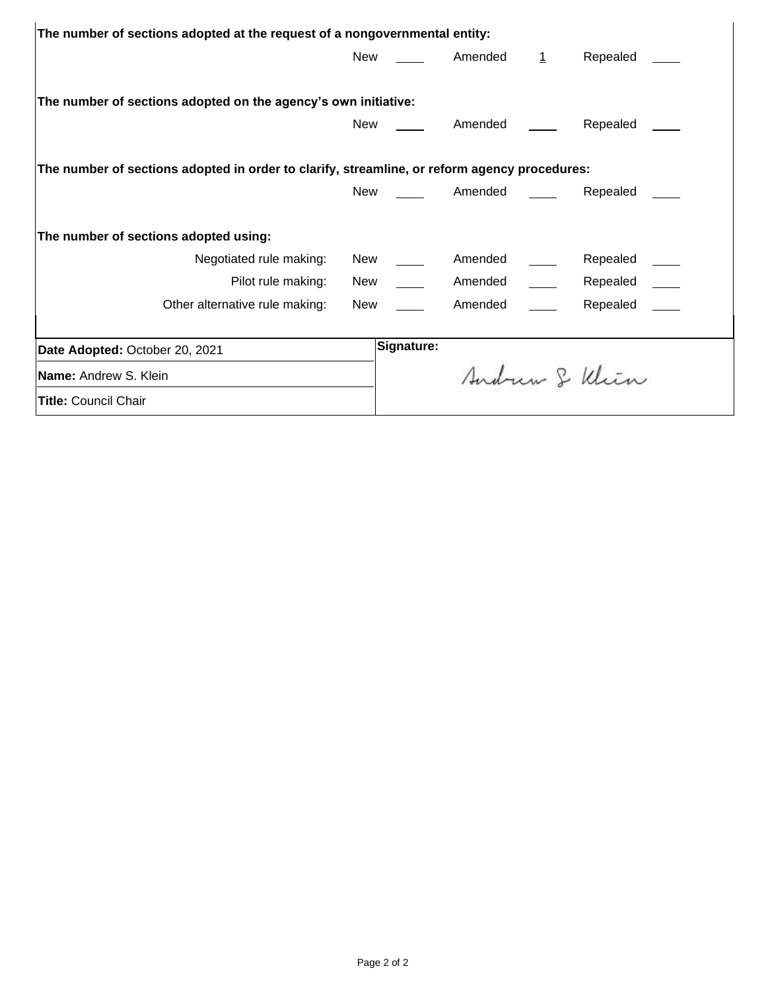| The number of sections adopted at the request of a nongovernmental entity:                   |            |         |   |               |  |  |  |  |  |
|----------------------------------------------------------------------------------------------|------------|---------|---|---------------|--|--|--|--|--|
| New                                                                                          |            | Amended | 1 | Repealed      |  |  |  |  |  |
|                                                                                              |            |         |   |               |  |  |  |  |  |
| The number of sections adopted on the agency's own initiative:                               |            |         |   |               |  |  |  |  |  |
| New                                                                                          |            | Amended |   | Repealed      |  |  |  |  |  |
|                                                                                              |            |         |   |               |  |  |  |  |  |
| The number of sections adopted in order to clarify, streamline, or reform agency procedures: |            |         |   |               |  |  |  |  |  |
| New                                                                                          |            | Amended |   | Repealed      |  |  |  |  |  |
|                                                                                              |            |         |   |               |  |  |  |  |  |
| The number of sections adopted using:                                                        |            |         |   |               |  |  |  |  |  |
| Negotiated rule making:<br>New                                                               |            | Amended |   | Repealed      |  |  |  |  |  |
| Pilot rule making:<br>New                                                                    |            | Amended |   | Repealed      |  |  |  |  |  |
| Other alternative rule making:<br>New                                                        |            | Amended |   | Repealed      |  |  |  |  |  |
|                                                                                              |            |         |   |               |  |  |  |  |  |
| Date Adopted: October 20, 2021                                                               | Signature: |         |   |               |  |  |  |  |  |
| Name: Andrew S. Klein                                                                        |            |         |   | Sudrem & Klin |  |  |  |  |  |
| <b>Title: Council Chair</b>                                                                  |            |         |   |               |  |  |  |  |  |